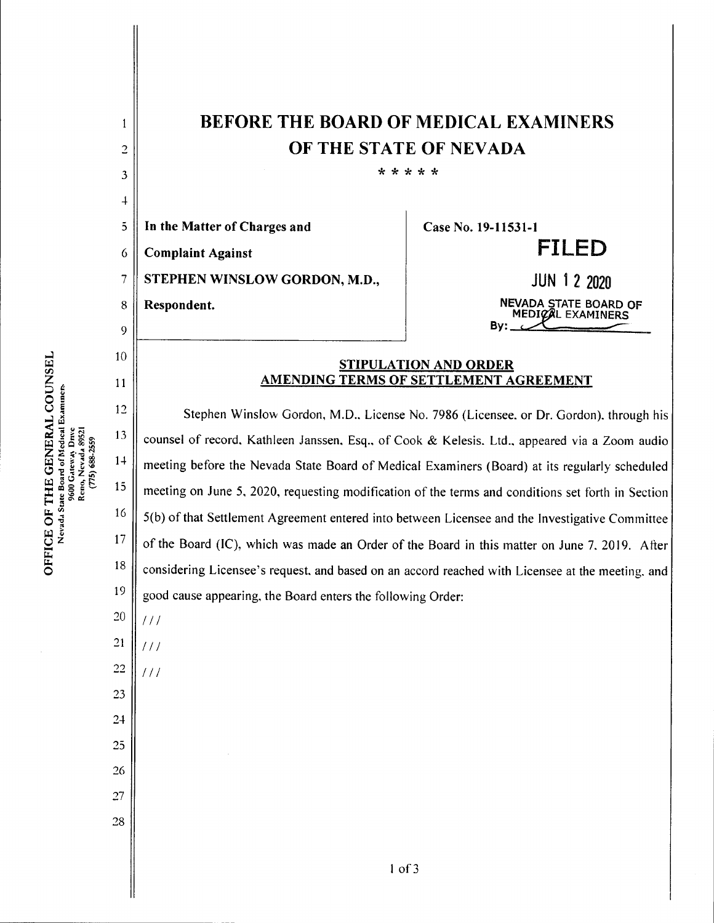| 1<br>$\overline{c}$<br>3<br>$\overline{+}$ | <b>BEFORE THE BOARD OF MEDICAL EXAMINERS</b><br>OF THE STATE OF NEVADA<br>* * * * *               |                                                   |
|--------------------------------------------|---------------------------------------------------------------------------------------------------|---------------------------------------------------|
| $\overline{5}$                             | In the Matter of Charges and                                                                      | Case No. 19-11531-1                               |
| 6                                          | <b>Complaint Against</b>                                                                          | <b>FILED</b>                                      |
| 7                                          | STEPHEN WINSLOW GORDON, M.D.,                                                                     | <b>JUN 1 2 2020</b>                               |
| 8                                          | Respondent.                                                                                       | NEVADA STATE BOARD OF<br>MEDICAL EXAMINERS<br>By: |
| 9                                          |                                                                                                   |                                                   |
| 10<br>11                                   | <b>STIPULATION AND ORDER</b><br>AMENDING TERMS OF SETTLEMENT AGREEMENT                            |                                                   |
| 12                                         | Stephen Winslow Gordon, M.D., License No. 7986 (Licensee, or Dr. Gordon), through his             |                                                   |
| 13                                         | counsel of record, Kathleen Janssen, Esq., of Cook & Kelesis. Ltd., appeared via a Zoom audio     |                                                   |
| $1+$                                       | meeting before the Nevada State Board of Medical Examiners (Board) at its regularly scheduled     |                                                   |
| 15                                         | meeting on June 5, 2020, requesting modification of the terms and conditions set forth in Section |                                                   |
| 16                                         | 5(b) of that Settlement Agreement entered into between Licensee and the Investigative Committee   |                                                   |
| 17                                         | of the Board (IC), which was made an Order of the Board in this matter on June 7, 2019. After     |                                                   |
| 18                                         | considering Licensee's request, and based on an accord reached with Licensee at the meeting, and  |                                                   |
| 19                                         | good cause appearing, the Board enters the following Order:                                       |                                                   |
| $20\,$                                     | 111                                                                                               |                                                   |
| $21\,$                                     | 111                                                                                               |                                                   |
| $22\,$                                     | 111                                                                                               |                                                   |
| 23                                         |                                                                                                   |                                                   |
| $24\,$                                     |                                                                                                   |                                                   |
| $25\,$                                     |                                                                                                   |                                                   |
| 26                                         |                                                                                                   |                                                   |
| $27\,$                                     |                                                                                                   |                                                   |
| $28\,$                                     |                                                                                                   |                                                   |
|                                            | $1$ of $3$                                                                                        |                                                   |

OF 7<br>da Sta  $\mathbf{\ddot{C}}$   $\mathbf{\ddot{z}}$ E Ph o **VERAL CO<br>stedical Examin** THE

H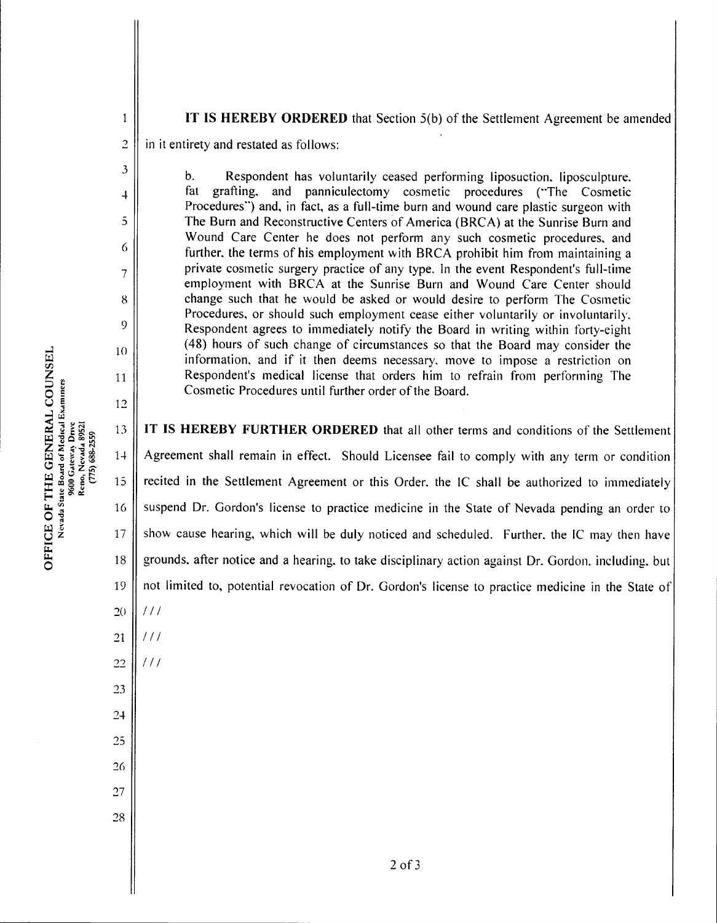$\mathbf{1}$ 

3

4

5

6

7

8

9

10

11

12

 $(775)$   $688 - 2559$ 

9600 Gateway Drive<br>Reno, Nevada 89521

## IT IS HEREBY ORDERED that Section  $5(b)$  of the Settlement Agreement be amended

 $\overline{c}$ in it entirety and restated as follows:

> b. Respondent has voluntarily ceased performing liposuction. liposculpture. fat grafting, and panniculectomy cosmetic procedures ("The Cosmetic Procedures") and, in fact, as a full-time burn and wound care plastic surgeon with The Burn and Reconstructive Centers of America (BRCA) at the Sunrise Burn and Wound Care Center he does not perform any such cosmetic procedures, and further, the terms of his employment with BRCA prohibit him from maintaining a private cosmetic surgery practice of any type. In the event Respondent's full-time employment with BRCA at the Sunrise Burn and Wound Care Center should change such that he would be asked or would desire to perform The Cosmetic Procedures, or should such employment cease either voluntarily or involuntarily. Respondent agrees to immediately notify the Board in writing within forty-eight (48) hours of such change of circumstances so that the Board may consider the information, and if it then deems necessary, move to impose a restriction on Respondent's medical license that orders him to refrain from performing The Cosmetic Procedures until further order of the Board.

IT IS HEREBY FURTHER ORDERED that all other terms and conditions of the Settlement 13 14 Agreement shall remain in effect. Should Licensee fail to comply with any term or condition ^ 15 recited in the Settlement Agreement or this Order, the IC shall be authorized to immediately suspend Dr. Gordon's license to practice medicine in the State of Nevada pending an order to 16 17 show cause hearing, which will be duly noticed and scheduled. Further, the IC may then have grounds, after notice and a hearing, to take disciplinary action against Dr. Gordon, including, but 18 19 not limited to, potential revocation of Dr. Gordon's license to practice medicine in the State of  $111$ 20

- 21  $111$
- 22  $111$

23

ft,  $\ddot{\circ}$ 

COI<br>Umune<br>U

24

25

26

27

28